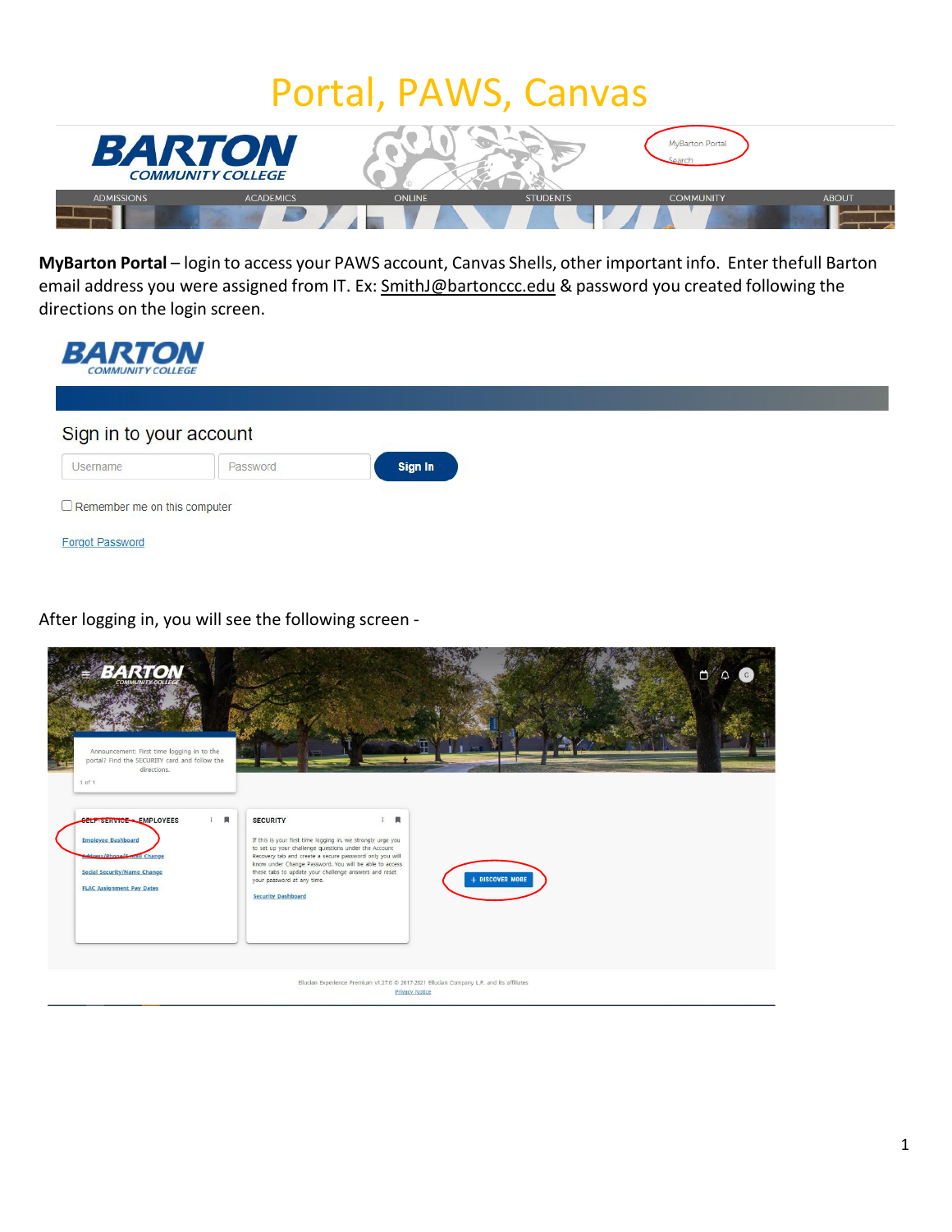### Portal, PAWS, Canvas



**MyBarton Portal** – login to access your PAWS account, Canvas Shells, other important info. Enter thefull Barton email address you were assigned from IT. Ex: [SmithJ@bartonccc.edu](mailto:JonesJ@bartonccc.edu) & password you created following the directions on the login screen.

| <b>BARTON</b><br><b>COMMUNITY COLLEGE</b> |          |         |  |  |  |  |  |
|-------------------------------------------|----------|---------|--|--|--|--|--|
| Sign in to your account                   |          |         |  |  |  |  |  |
| Username                                  | Password | Sign In |  |  |  |  |  |
| $\Box$ Remember me on this computer       |          |         |  |  |  |  |  |
| <b>Forgot Password</b>                    |          |         |  |  |  |  |  |

After logging in, you will see the following screen -

| <b>BARTON</b>                                                                                                        |                                                                                                                                                                                                                                   |                   | $\Box$ $\Box$ |
|----------------------------------------------------------------------------------------------------------------------|-----------------------------------------------------------------------------------------------------------------------------------------------------------------------------------------------------------------------------------|-------------------|---------------|
|                                                                                                                      |                                                                                                                                                                                                                                   |                   |               |
| Announcement: First time logging in to the<br>portal? Find the SECURITY card and follow the<br>directions.<br>1 of 1 |                                                                                                                                                                                                                                   |                   |               |
| 員<br>$\ddot{\phantom{a}}$<br>SELF-SERVICE - EMPLOYEES<br><b>Employee Dashboard</b><br>ddress/Phone (E-mail Change    | $\mathbf{R}$<br>$\mathbf{r}$<br><b>SECURITY</b><br>If this is your first time logging in, we strongly urge you<br>to set up your challenge questions under the Account<br>Recovery tab and create a secure password only you will |                   |               |
| <b>Social Security/Name Change</b><br><b>FLAC Assignment Pay Dates</b>                                               | know under Change Password. You will be able to access<br>these tabs to update your challenge answers and reset<br>your password at any time.<br><b>Security Dashboard</b>                                                        | $+$ DISCOVER MORE |               |
|                                                                                                                      |                                                                                                                                                                                                                                   |                   |               |
|                                                                                                                      | Ellucian Experience Premium v1.27.0 @ 2017-2021 Ellucian Company L.P. and its affiliates<br>Privacy Notice                                                                                                                        |                   |               |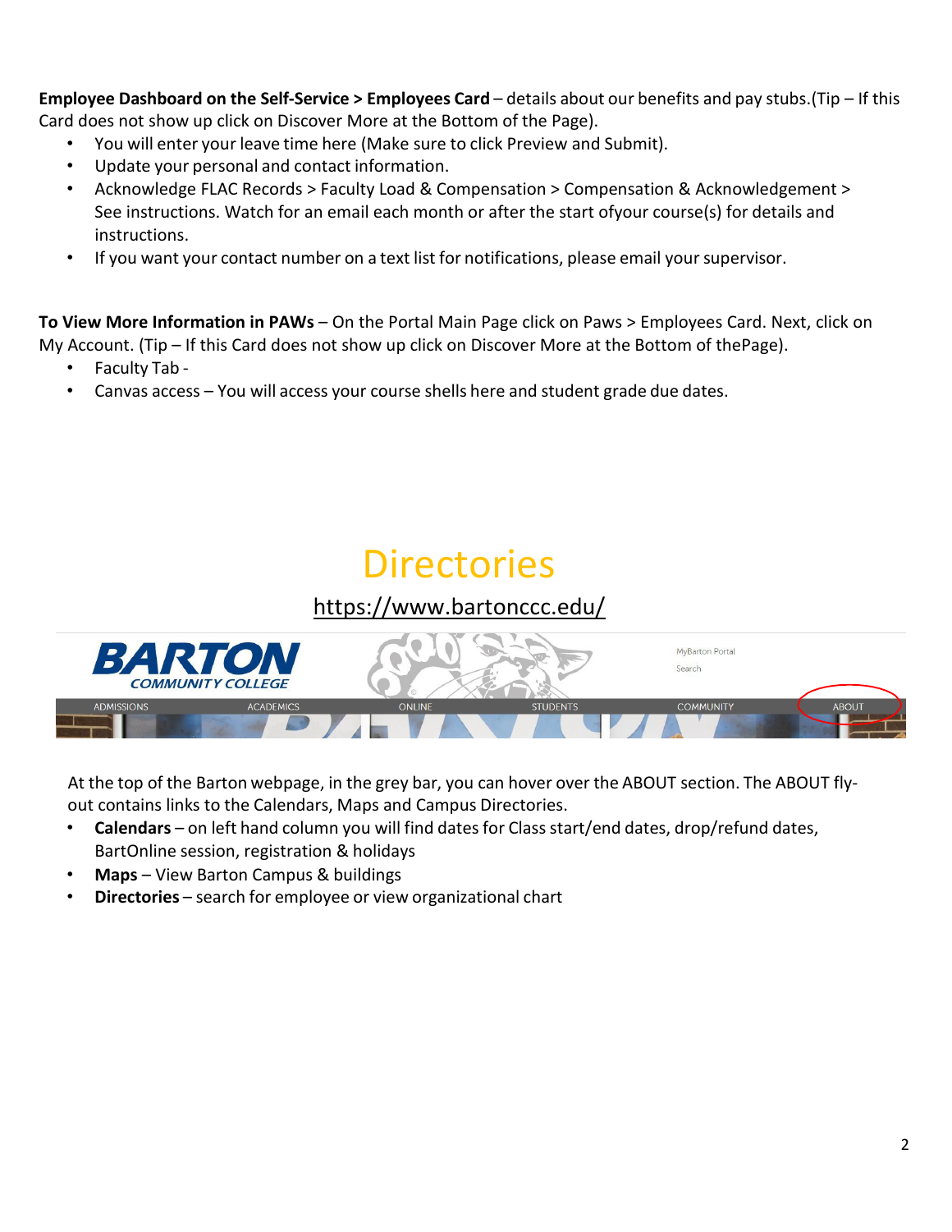**Employee Dashboard on the Self-Service > Employees Card** – details about our benefits and pay stubs.(Tip – If this Card does not show up click on Discover More at the Bottom of the Page).

- You will enter your leave time here (Make sure to click Preview and Submit).
- Update your personal and contact information.
- Acknowledge FLAC Records > Faculty Load & Compensation > Compensation & Acknowledgement > See instructions. Watch for an email each month or after the start ofyour course(s) for details and instructions.
- If you want your contact number on a text list for notifications, please email your supervisor.

**To View More Information in PAWs** – On the Portal Main Page click on Paws > Employees Card. Next, click on My Account. (Tip – If this Card does not show up click on Discover More at the Bottom of thePage).

- Faculty Tab -
- Canvas access You will access your course shells here and student grade due dates.

### **Directories**

### <https://www.bartonccc.edu/>



At the top of the Barton webpage, in the grey bar, you can hover over the ABOUT section. The ABOUT flyout contains links to the Calendars, Maps and Campus Directories.

- **Calendars** on left hand column you will find dates for Class start/end dates, drop/refund dates, BartOnline session, registration & holidays
- **Maps**  View Barton Campus & buildings
- **Directories** search for employee or view organizational chart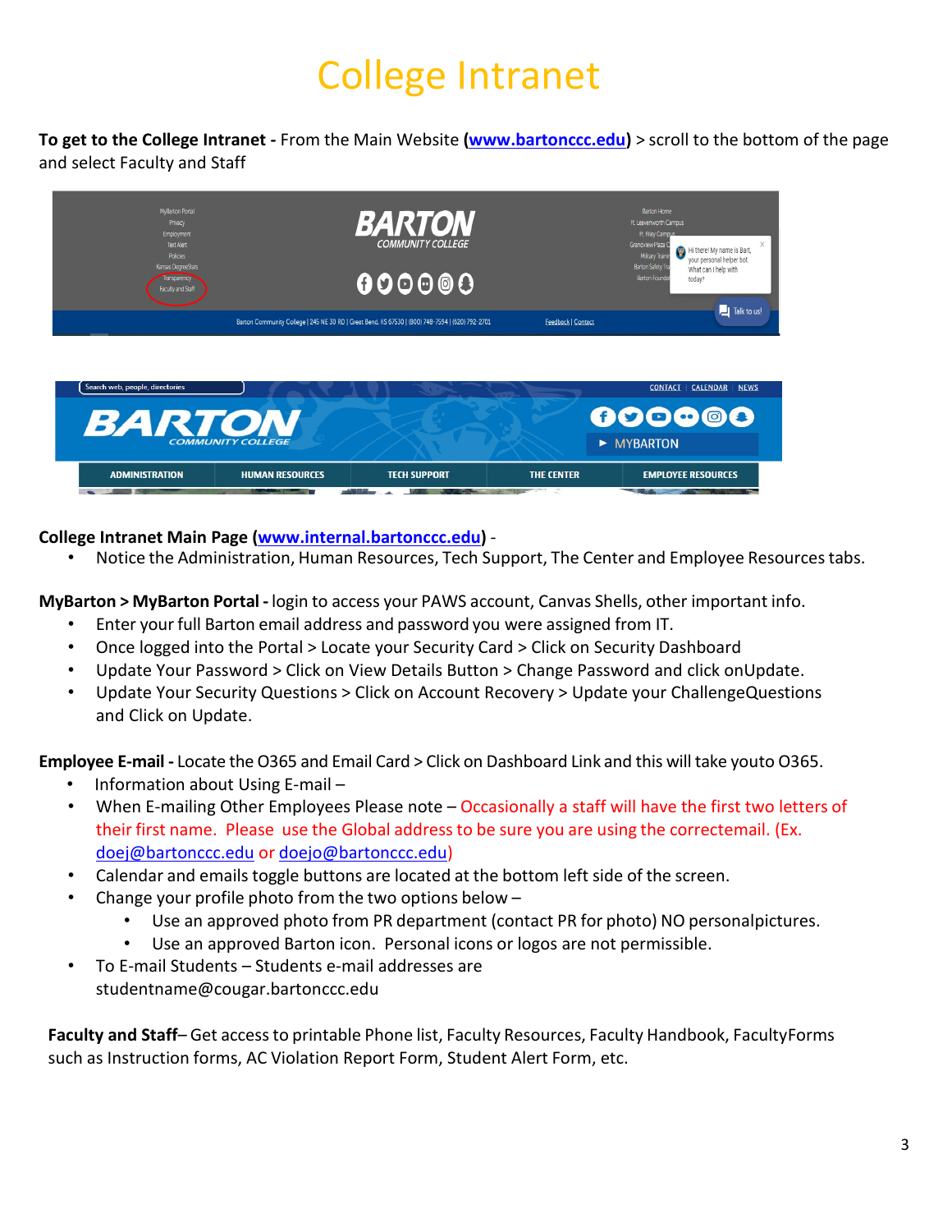## College Intranet

**To get to the College Intranet -** From the Main Website **[\(www.bartonccc.edu\)](http://www.bartonccc.edu/)** > scroll to the bottom of the page and select Faculty and Staff



#### **College Intranet Main Page [\(www.internal.bartonccc.edu\)](http://www.internal.bartonccc.edu/)** -

• Notice the Administration, Human Resources, Tech Support, The Center and Employee Resourcestabs.

**MyBarton > MyBarton Portal -** login to access your PAWS account, Canvas Shells, other important info.

- Enter your full Barton email address and password you were assigned from IT.
- Once logged into the Portal > Locate your Security Card > Click on Security Dashboard
- Update Your Password > Click on View Details Button > Change Password and click onUpdate.
- Update Your Security Questions > Click on Account Recovery > Update your ChallengeQuestions and Click on Update.

**Employee E-mail -** Locate the O365 and Email Card > Click on Dashboard Link and this will take youto O365.

- Information about Using E-mail –
- When E-mailing Other Employees Please note Occasionally a staff will have the first two letters of their first name. Please use the Global address to be sure you are using the correctemail. (Ex. [doej@bartonccc.edu](mailto:doej@bartonccc.edu) or [doejo@bartonccc.edu\)](mailto:doejo@bartonccc.edu)
- Calendar and emails toggle buttons are located at the bottom left side of the screen.
- Change your profile photo from the two options below
	- Use an approved photo from PR department (contact PR for photo) NO personalpictures.
	- Use an approved Barton icon. Personal icons or logos are not permissible.
- To E-mail Students Students e-mail addresses are [studentname@cougar.bartonccc.edu](mailto:studentname@cougar.bartonccc.edu)

**Faculty and Staff**– Get accessto printable Phone list, Faculty Resources, Faculty Handbook, FacultyForms such as Instruction forms, AC Violation Report Form, Student Alert Form, etc.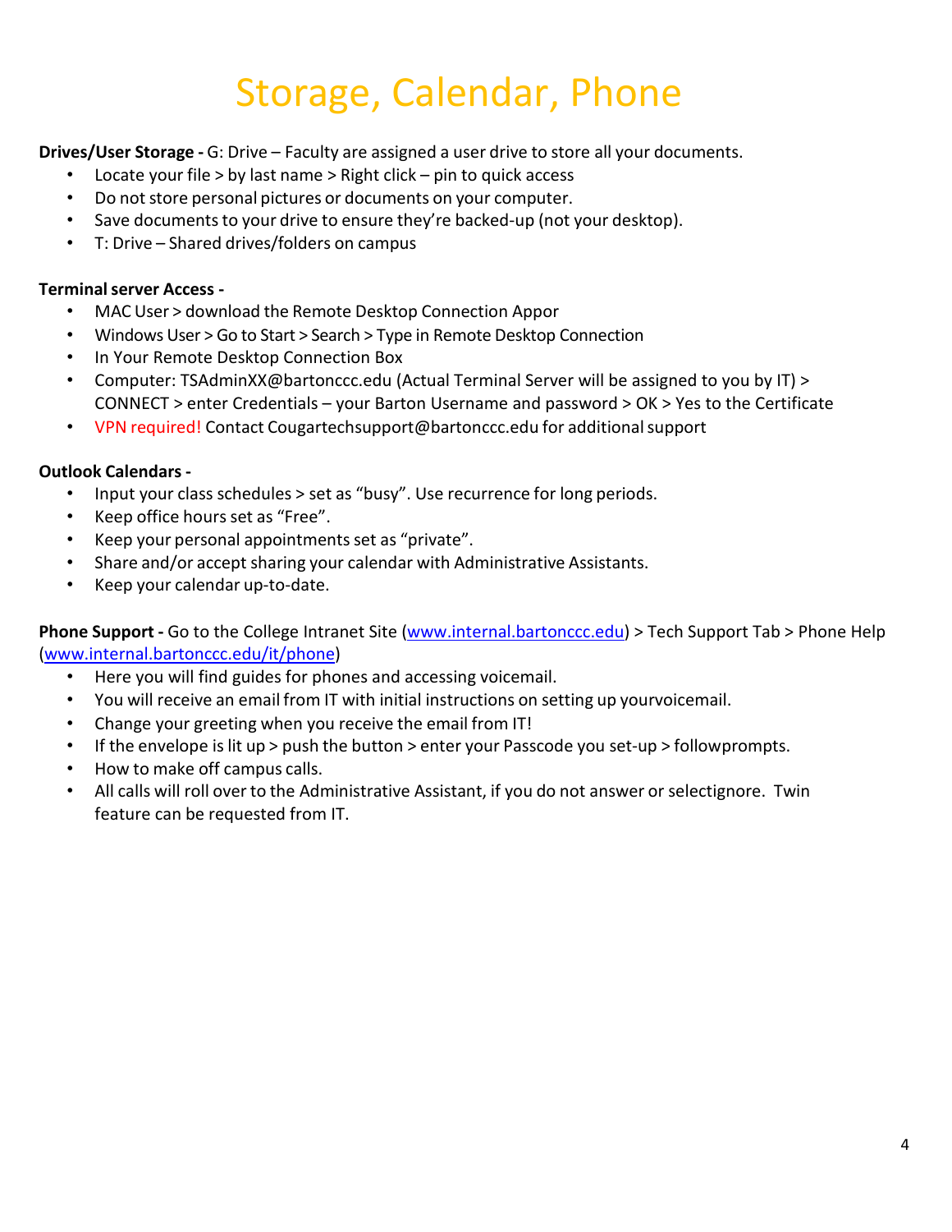## Storage, Calendar, Phone

**Drives/User Storage -** G: Drive – Faculty are assigned a user drive to store all your documents.

- Locate your file > by last name > Right click pin to quick access
- Do not store personal pictures or documents on your computer.
- Save documents to your drive to ensure they're backed-up (not your desktop).
- T: Drive Shared drives/folders on campus

#### **Terminalserver Access -**

- MAC User > download the Remote Desktop Connection Appor
- Windows User > Go to Start > Search > Type in Remote Desktop Connection
- In Your Remote Desktop Connection Box
- Computer: TSAdminXX@bartonccc.edu (Actual Terminal Server will be assigned to you by IT) > CONNECT > enter Credentials – your Barton Username and password > OK > Yes to the Certificate
- VPN required! Contact [Cougartechsupport@bartonccc.edu](mailto:Cougartechsupport@bartonccc.edu) for additional support

#### **Outlook Calendars -**

- Input your class schedules > set as "busy". Use recurrence for long periods.
- Keep office hours set as "Free".
- Keep your personal appointments set as "private".
- Share and/or accept sharing your calendar with Administrative Assistants.
- Keep your calendar up-to-date.

**Phone Support -** Go to the College Intranet Site [\(www.internal.bartonccc.edu\)](http://www.internal.bartonccc.edu/) > Tech Support Tab > Phone Help [\(www.internal.bartonccc.edu/it/phone\)](http://www.internal.bartonccc.edu/it/phone)

- Here you will find guides for phones and accessing voicemail.
- You will receive an email from IT with initial instructions on setting up yourvoicemail.
- Change your greeting when you receive the email from IT!
- If the envelope islit up > push the button > enter your Passcode you set-up > followprompts.
- How to make off campus calls.
- All calls will roll overto the Administrative Assistant, if you do not answer or selectignore. Twin feature can be requested from IT.